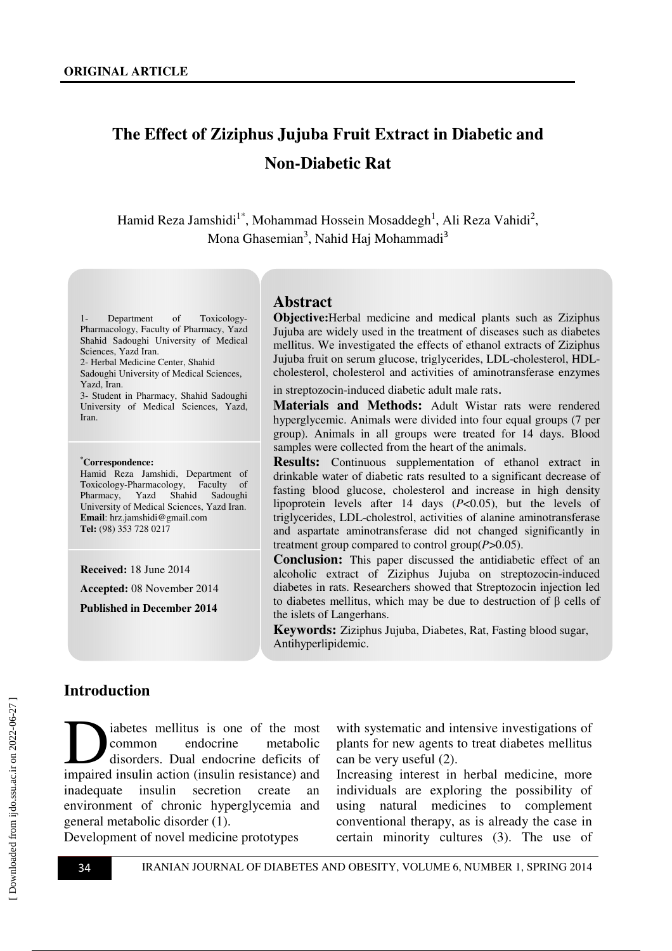# **The Effect of Ziziphus Jujuba Fruit Extract in Diabetic and Non-Diabetic Rat**

Hamid Reza Jamshidi $^{1*}$ , Mohammad Hossein Mosaddegh<sup>1</sup>, Ali Reza Vahidi<sup>2</sup>, Mona Ghasemian<sup>3</sup>, Nahid Haj Mohammadi<sup>3</sup>

1- Department of Toxicology-Pharmacology, Faculty of Pharmacy, Yazd Shahid Sadoughi University of Medical Sciences, Yazd Iran. 2- Herbal Medicine Center, Shahid Sadoughi University of Medical Sciences, Yazd, Iran.

3- Student in Pharmacy, Shahid Sadoughi University of Medical Sciences, Yazd, Iran.

#### **\*Correspondence:**

Hamid Reza Jamshidi, Department of Toxicology-Pharmacology, Faculty of Pharmacy, Yazd Shahid Sadoughi University of Medical Sciences, Yazd Iran. **Email**: hrz.jamshidi@gmail.com **Tel:** (98) 353 728 0217

**Received:** 18 June 2014

**Accepted:** 08 November 2014

**Published in December 2014** 

#### **Abstract**

**Objective:**Herbal medicine and medical plants such as Ziziphus Jujuba are widely used in the treatment of diseases such as diabetes mellitus. We investigated the effects of ethanol extracts of Ziziphus Jujuba fruit on serum glucose, triglycerides, LDL-cholesterol, HDLcholesterol, cholesterol and activities of aminotransferase enzymes

in streptozocin-induced diabetic adult male rats.

**Materials and Methods:** Adult Wistar rats were rendered hyperglycemic. Animals were divided into four equal groups (7 per group). Animals in all groups were treated for 14 days. Blood samples were collected from the heart of the animals.

**Results:** Continuous supplementation of ethanol extract in drinkable water of diabetic rats resulted to a significant decrease of fasting blood glucose, cholesterol and increase in high density lipoprotein levels after 14 days (*P*<0.05), but the levels of triglycerides, LDL-cholestrol, activities of alanine aminotransferase and aspartate aminotransferase did not changed significantly in treatment group compared to control group(*P*>0.05).

**Conclusion:** This paper discussed the antidiabetic effect of an alcoholic extract of Ziziphus Jujuba on streptozocin-induced diabetes in rats. Researchers showed that Streptozocin injection led to diabetes mellitus, which may be due to destruction of β cells of the islets of Langerhans.

**Keywords:** Ziziphus Jujuba, Diabetes, Rat, Fasting blood sugar, Antihyperlipidemic.

#### **Introduction**

iabetes mellitus is one of the most common endocrine metabolic disorders. Dual endocrine deficits of iabetes mellitus is one of the most<br>common endocrine metabolic<br>disorders. Dual endocrine deficits of<br>impaired insulin action (insulin resistance) and inadequate insulin secretion create an environment of chronic hyperglycemia and general metabolic disorder (1).

with systematic and intensive investigations of plants for new agents to treat diabetes mellitus can be very useful (2).

Increasing interest in herbal medicine, more individuals are exploring the possibility of using natural medicines to complement conventional therapy, as is already the case in certain minority cultures (3). The use of

Development of novel medicine prototypes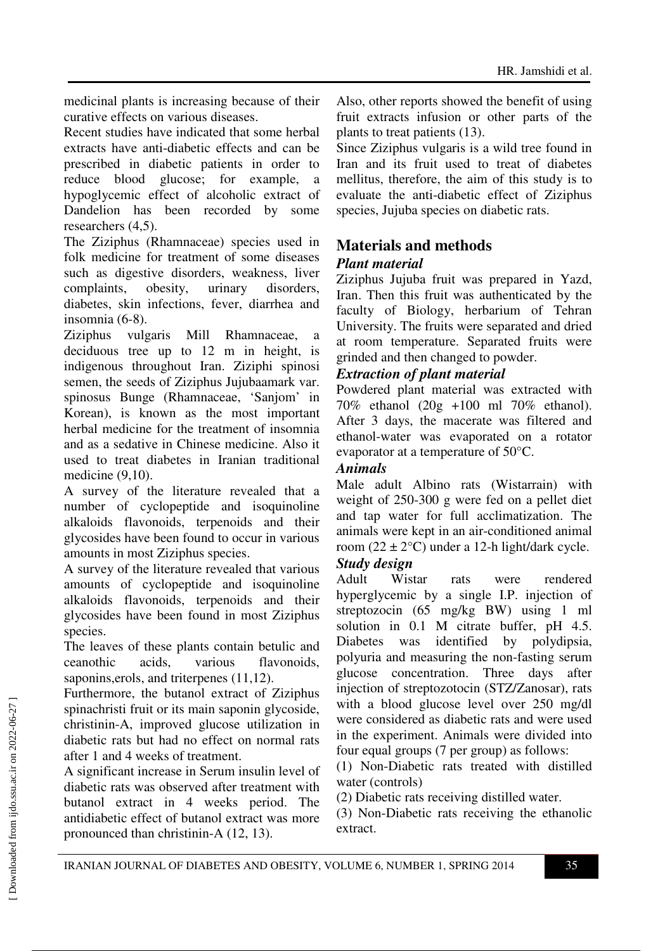medicinal plants is increasing because of their curative effects on various diseases.

Recent studies have indicated that some herbal extracts have anti-diabetic effects and can be prescribed in diabetic patients in order to reduce blood glucose; for example, a hypoglycemic effect of alcoholic extract of Dandelion has been recorded by some researchers (4,5).

The Ziziphus (Rhamnaceae) species used in folk medicine for treatment of some diseases such as digestive disorders, weakness, liver complaints, obesity, urinary disorders, diabetes, skin infections, fever, diarrhea and insomnia (6-8).

Ziziphus vulgaris Mill Rhamnaceae, a deciduous tree up to 12 m in height, is indigenous throughout Iran. Ziziphi spinosi semen, the seeds of Ziziphus Jujubaamark var. spinosus Bunge (Rhamnaceae, 'Sanjom' in Korean), is known as the most important herbal medicine for the treatment of insomnia and as a sedative in Chinese medicine. Also it used to treat diabetes in Iranian traditional medicine (9,10).

A survey of the literature revealed that a number of cyclopeptide and isoquinoline alkaloids flavonoids, terpenoids and their glycosides have been found to occur in various amounts in most Ziziphus species.

A survey of the literature revealed that various amounts of cyclopeptide and isoquinoline alkaloids flavonoids, terpenoids and their glycosides have been found in most Ziziphus species.

The leaves of these plants contain betulic and ceanothic acids, various flavonoids, saponins,erols, and triterpenes (11,12).

Furthermore, the butanol extract of Ziziphus spinachristi fruit or its main saponin glycoside, christinin-A, improved glucose utilization in diabetic rats but had no effect on normal rats after 1 and 4 weeks of treatment.

A significant increase in Serum insulin level of diabetic rats was observed after treatment with butanol extract in 4 weeks period. The antidiabetic effect of butanol extract was more pronounced than christinin-A (12, 13).

Also, other reports showed the benefit of using fruit extracts infusion or other parts of the plants to treat patients (13).

Since Ziziphus vulgaris is a wild tree found in Iran and its fruit used to treat of diabetes mellitus, therefore, the aim of this study is to evaluate the anti-diabetic effect of Ziziphus species, Jujuba species on diabetic rats.

# **Materials and methods**

### *Plant material*

Ziziphus Jujuba fruit was prepared in Yazd, Iran. Then this fruit was authenticated by the faculty of Biology, herbarium of Tehran University. The fruits were separated and dried at room temperature. Separated fruits were grinded and then changed to powder.

### *Extraction of plant material*

Powdered plant material was extracted with 70% ethanol (20g +100 ml 70% ethanol). After 3 days, the macerate was filtered and ethanol-water was evaporated on a rotator evaporator at a temperature of 50°C.

#### *Animals*

Male adult Albino rats (Wistarrain) with weight of 250-300 g were fed on a pellet diet and tap water for full acclimatization. The animals were kept in an air-conditioned animal room  $(22 \pm 2^{\circ}C)$  under a 12-h light/dark cycle.

# *Study design*

Adult Wistar rats were rendered hyperglycemic by a single I.P. injection of streptozocin (65 mg/kg BW) using 1 ml solution in 0.1 M citrate buffer, pH 4.5. Diabetes was identified by polydipsia, polyuria and measuring the non-fasting serum glucose concentration. Three days after injection of streptozotocin (STZ/Zanosar), rats with a blood glucose level over 250 mg/dl were considered as diabetic rats and were used in the experiment. Animals were divided into four equal groups (7 per group) as follows:

(1) Non-Diabetic rats treated with distilled water (controls)

(2) Diabetic rats receiving distilled water.

(3) Non-Diabetic rats receiving the ethanolic extract.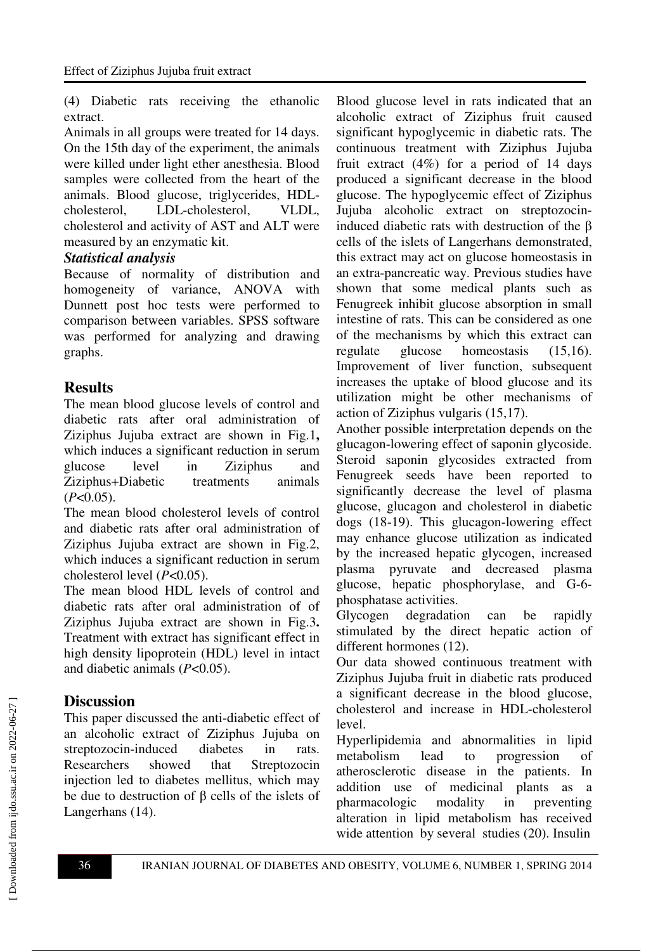(4) Diabetic rats receiving the ethanolic extract.

Animals in all groups were treated for 14 days. On the 15th day of the experiment, the animals were killed under light ether anesthesia. Blood samples were collected from the heart of the animals. Blood glucose, triglycerides, HDLcholesterol, LDL-cholesterol, VLDL, cholesterol and activity of AST and ALT were measured by an enzymatic kit.

#### *Statistical analysis*

Because of normality of distribution and homogeneity of variance, ANOVA with Dunnett post hoc tests were performed to comparison between variables. SPSS software was performed for analyzing and drawing graphs.

# **Results**

The mean blood glucose levels of control and diabetic rats after oral administration of Ziziphus Jujuba extract are shown in Fig.1**,** which induces a significant reduction in serum glucose level in Ziziphus and Ziziphus+Diabetic treatments animals (*P*<0.05).

The mean blood cholesterol levels of control and diabetic rats after oral administration of Ziziphus Jujuba extract are shown in Fig.2, which induces a significant reduction in serum cholesterol level (*P*<0.05).

The mean blood HDL levels of control and diabetic rats after oral administration of of Ziziphus Jujuba extract are shown in Fig.3**.** Treatment with extract has significant effect in high density lipoprotein (HDL) level in intact and diabetic animals (*P*<0.05).

# **Discussion**

This paper discussed the anti-diabetic effect of an alcoholic extract of Ziziphus Jujuba on streptozocin-induced diabetes in rats. Researchers showed that Streptozocin injection led to diabetes mellitus, which may be due to destruction of  $\beta$  cells of the islets of Langerhans (14).

Blood glucose level in rats indicated that an alcoholic extract of Ziziphus fruit caused significant hypoglycemic in diabetic rats. The continuous treatment with Ziziphus Jujuba fruit extract  $(4\%)$  for a period of 14 days produced a significant decrease in the blood glucose. The hypoglycemic effect of Ziziphus Jujuba alcoholic extract on streptozocininduced diabetic rats with destruction of the β cells of the islets of Langerhans demonstrated, this extract may act on glucose homeostasis in an extra-pancreatic way. Previous studies have shown that some medical plants such as Fenugreek inhibit glucose absorption in small intestine of rats. This can be considered as one of the mechanisms by which this extract can regulate glucose homeostasis (15,16). Improvement of liver function, subsequent increases the uptake of blood glucose and its utilization might be other mechanisms of action of Ziziphus vulgaris (15,17).

Another possible interpretation depends on the glucagon-lowering effect of saponin glycoside. Steroid saponin glycosides extracted from Fenugreek seeds have been reported to significantly decrease the level of plasma glucose, glucagon and cholesterol in diabetic dogs (18-19). This glucagon-lowering effect may enhance glucose utilization as indicated by the increased hepatic glycogen, increased plasma pyruvate and decreased plasma glucose, hepatic phosphorylase, and G-6 phosphatase activities.

Glycogen degradation can be rapidly stimulated by the direct hepatic action of different hormones (12).

Our data showed continuous treatment with Ziziphus Jujuba fruit in diabetic rats produced a significant decrease in the blood glucose, cholesterol and increase in HDL-cholesterol level.

Hyperlipidemia and abnormalities in lipid metabolism lead to progression of atherosclerotic disease in the patients. In addition use of medicinal plants as a pharmacologic modality in preventing alteration in lipid metabolism has received wide attention by several studies (20). Insulin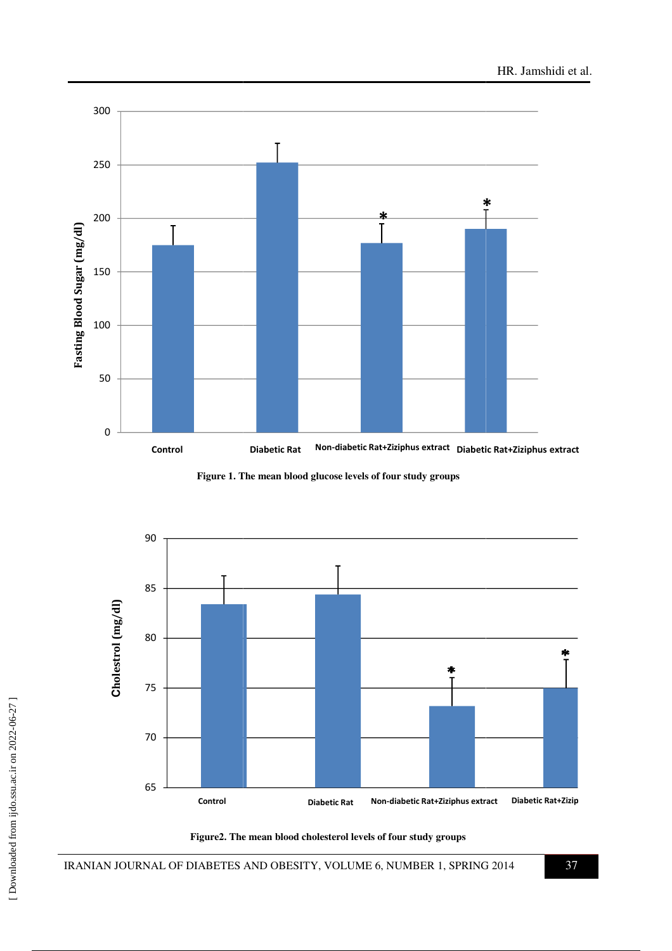

**Figure 1. The mean blood glucose levels of four study groups**



**Figure2. The mean blood cholesterol levels of four study groups**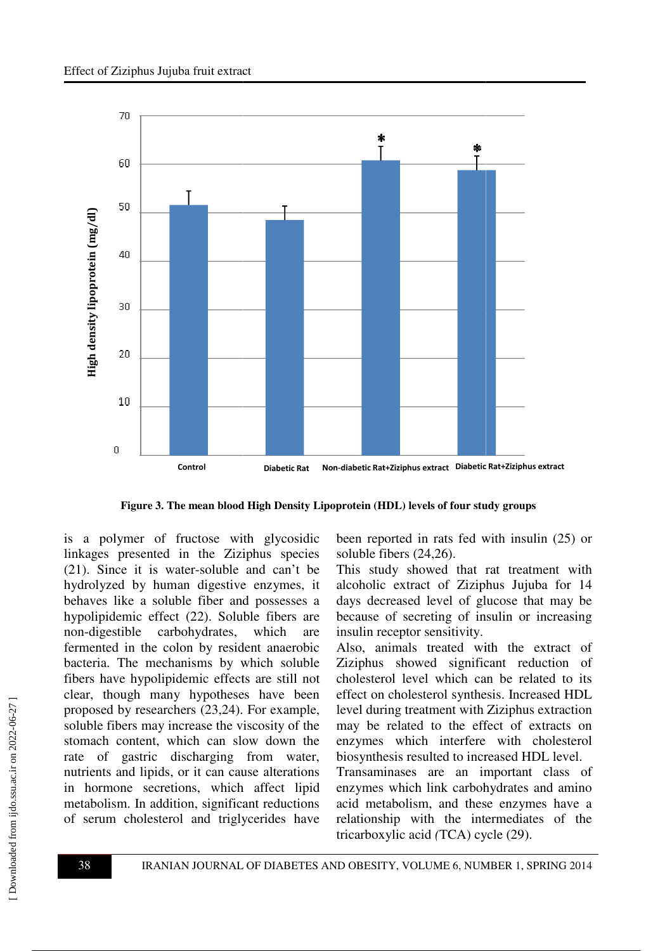

**Figure 3. The mean blood High Density Lipoprotein (HDL) levels of four study groups**

is a polymer of fructose with glycosidic linkages presented in the Ziziphus species (21). Since it is water-soluble and can't be hydrolyzed by human digestive enzymes, it behaves like a soluble fiber and possesses a hypolipidemic effect (22). Soluble fibers are non-digestible carbohydrates, which are fermented in the colon by resident anaerobic bacteria. The mechanisms by which soluble fibers have hypolipidemic effects are still not clear, though many hypotheses have been proposed by researchers  $(23,24)$ . For example, soluble fibers may increase the viscosity of the stomach content, which can slow down the rate of gastric discharging from water, nutrients and lipids, or it can cause alterations in hormone secretions, which affect lipid metabolism. In addition, significant reductions of serum cholesterol and triglycerides have s a polymer of fructose with glycosidic<br>inkages presented in the Ziziphus species<br>21). Since it is water-soluble and can't be<br>nydrolyzed by human digestive enzymes, it<br>behaves like a soluble fiber and possesses a<br>nypolipid fructose with glycosidic been reported in rats fed with insulin<br>in the Ziziphus species soluble fibers (24,26).<br>atter-soluble and can't be This study showed that rat treatmen<br>ann digestive enzymes, it alcoholic extract of

soluble fibers (24,26). been reported in rats fed with insulin (25) or

This study showed that rat treatment with alcoholic extract of Ziziphus Jujuba for 14 days decreased level of glucose that may be because of secreting of insulin or increasing insulin receptor sensitivity.

Also, animals treated with the extract of Ziziphus showed significant reduction of cholesterol level which can be related to its effect on cholesterol synthesis. Increased HDL level during treatment with Zizip Ziziphus extraction may be related to the effect of extracts on enzymes which interfere with cholesterol biosynthesis resulted to increased HDL level.

Transaminases are an important class of enzymes which link carbohydrates and amino acid metabolism, and these enzymes have a relationship with the intermediates of the tricarboxylic acid *(*TCA) cycle (29).

 [\[ Downloaded from ijdo.ssu.ac.ir on 2022-](http://ijdo.ssu.ac.ir/article-1-182-en.html)06-27 ]

Downloaded from ijdo.ssu.ac.ir on 2022-06-27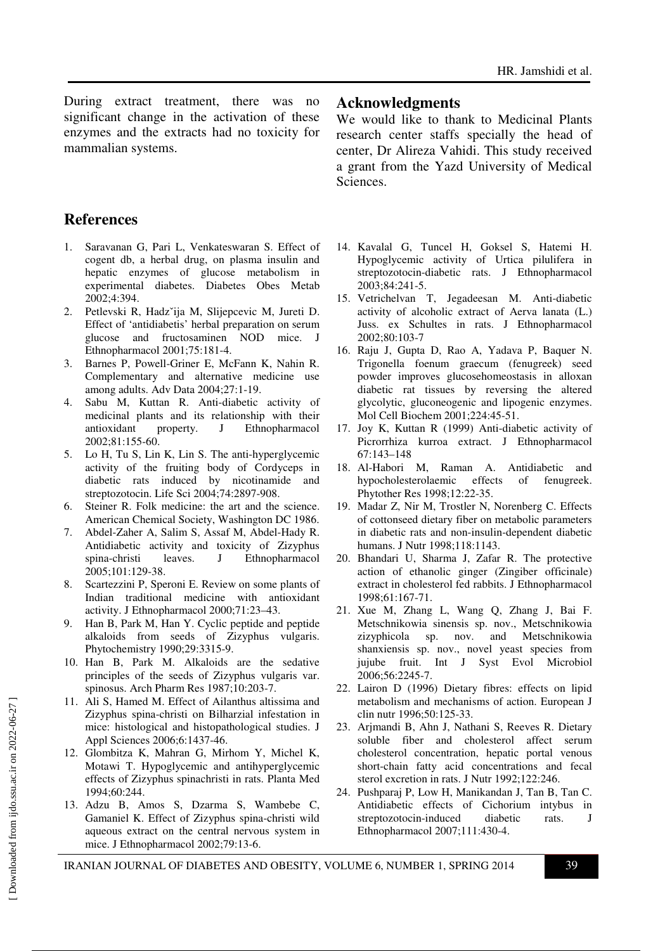During extract treatment, there was no significant change in the activation of these enzymes and the extracts had no toxicity for mammalian systems.

# **References**

- 1. Saravanan G, Pari L, Venkateswaran S. Effect of cogent db, a herbal drug, on plasma insulin and hepatic enzymes of glucose metabolism in experimental diabetes. Diabetes Obes Metab 2002;4:394.
- 2. Petlevski R, Hadzˇija M, Slijepcevic M, Jureti D. Effect of 'antidiabetis' herbal preparation on serum glucose and fructosaminen NOD mice. J Ethnopharmacol 2001;75:181-4.
- 3. Barnes P, Powell-Griner E, McFann K, Nahin R. Complementary and alternative medicine use among adults. Adv Data 2004;27:1-19.
- 4. Sabu M, Kuttan R. Anti-diabetic activity of medicinal plants and its relationship with their antioxidant property. J Ethnopharmacol 2002;81:155-60.
- 5. Lo H, Tu S, Lin K, Lin S. The anti-hyperglycemic activity of the fruiting body of Cordyceps in diabetic rats induced by nicotinamide and streptozotocin. Life Sci 2004;74:2897-908.
- 6. Steiner R. Folk medicine: the art and the science. American Chemical Society, Washington DC 1986.
- 7. Abdel-Zaher A, Salim S, Assaf M, Abdel-Hady R. Antidiabetic activity and toxicity of Zizyphus spina-christi leaves. J Ethnopharmacol 2005;101:129-38.
- 8. Scartezzini P, Speroni E. Review on some plants of Indian traditional medicine with antioxidant activity. J Ethnopharmacol 2000;71:23–43.
- 9. Han B, Park M, Han Y. Cyclic peptide and peptide alkaloids from seeds of Zizyphus vulgaris. Phytochemistry 1990;29:3315-9.
- 10. Han B, Park M. Alkaloids are the sedative principles of the seeds of Zizyphus vulgaris var. spinosus. Arch Pharm Res 1987;10:203-7.
- 11. Ali S, Hamed M. Effect of Ailanthus altissima and Zizyphus spina-christi on Bilharzial infestation in mice: histological and histopathological studies. J Appl Sciences 2006;6:1437-46.
- 12. Glombitza K, Mahran G, Mirhom Y, Michel K, Motawi T. Hypoglycemic and antihyperglycemic effects of Zizyphus spinachristi in rats. Planta Med 1994;60:244.
- 13. Adzu B, Amos S, Dzarma S, Wambebe C, Gamaniel K. Effect of Zizyphus spina-christi wild aqueous extract on the central nervous system in mice. J Ethnopharmacol 2002;79:13-6.

#### **Acknowledgments**

We would like to thank to Medicinal Plants research center staffs specially the head of center, Dr Alireza Vahidi. This study received a grant from the Yazd University of Medical Sciences.

- 14. Kavalal G, Tuncel H, Goksel S, Hatemi H. Hypoglycemic activity of Urtica pilulifera in streptozotocin-diabetic rats. J Ethnopharmacol 2003;84:241-5.
- 15. Vetrichelvan T, Jegadeesan M. Anti-diabetic activity of alcoholic extract of Aerva lanata (L.) Juss. ex Schultes in rats. J Ethnopharmacol 2002;80:103-7
- 16. Raju J, Gupta D, Rao A, Yadava P, Baquer N. Trigonella foenum graecum (fenugreek) seed powder improves glucosehomeostasis in alloxan diabetic rat tissues by reversing the altered glycolytic, gluconeogenic and lipogenic enzymes. Mol Cell Biochem 2001;224:45-51.
- 17. Joy K, Kuttan R (1999) Anti-diabetic activity of Picrorrhiza kurroa extract. J Ethnopharmacol 67:143–148
- 18. Al-Habori M, Raman A. Antidiabetic and hypocholesterolaemic effects of fenugreek. Phytother Res 1998;12:22-35.
- 19. Madar Z, Nir M, Trostler N, Norenberg C. Effects of cottonseed dietary fiber on metabolic parameters in diabetic rats and non-insulin-dependent diabetic humans. J Nutr 1998;118:1143.
- 20. Bhandari U, Sharma J, Zafar R. The protective action of ethanolic ginger (Zingiber officinale) extract in cholesterol fed rabbits. J Ethnopharmacol 1998;61:167-71.
- 21. Xue M, Zhang L, Wang Q, Zhang J, Bai F. Metschnikowia sinensis sp. nov., Metschnikowia zizyphicola sp. nov. and Metschnikowia shanxiensis sp. nov., novel yeast species from jujube fruit. Int J Syst Evol Microbiol 2006;56:2245-7.
- 22. Lairon D (1996) Dietary fibres: effects on lipid metabolism and mechanisms of action. European J clin nutr 1996;50:125-33.
- 23. Arjmandi B, Ahn J, Nathani S, Reeves R. Dietary soluble fiber and cholesterol affect serum cholesterol concentration, hepatic portal venous short-chain fatty acid concentrations and fecal sterol excretion in rats. J Nutr 1992;122:246.
- 24. Pushparaj P, Low H, Manikandan J, Tan B, Tan C. Antidiabetic effects of Cichorium intybus in streptozotocin-induced diabetic rats. J Ethnopharmacol 2007;111:430-4.